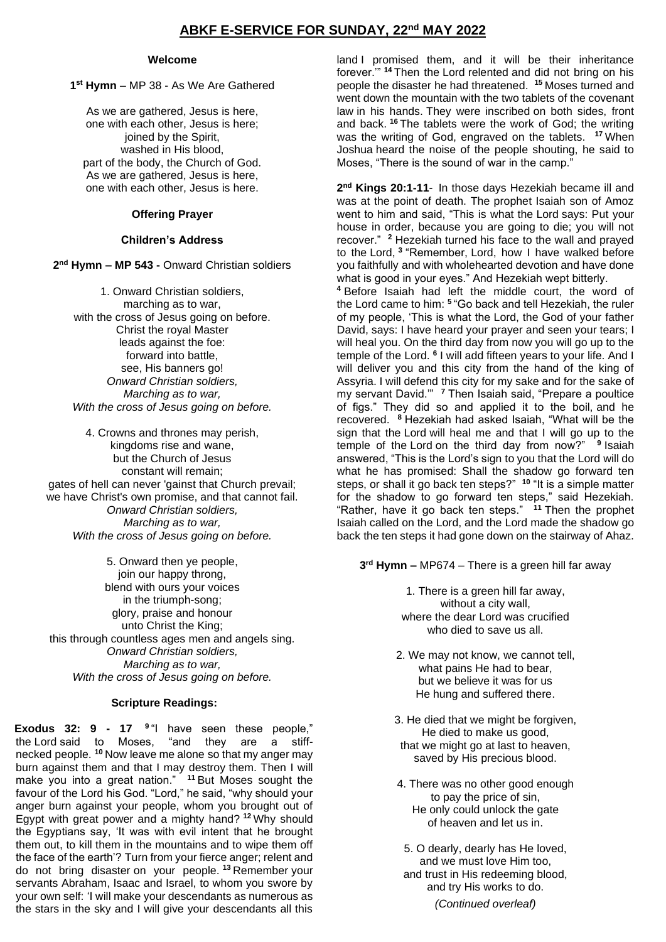# **ABKF E-SERVICE FOR SUNDAY, 22nd MAY 2022**

#### **Welcome**

**1 st Hymn** – MP 38 - As We Are Gathered

As we are gathered, Jesus is here, one with each other, Jesus is here; joined by the Spirit, washed in His blood, part of the body, the Church of God. As we are gathered, Jesus is here, one with each other, Jesus is here.

### **Offering Prayer**

## **Children's Address**

**2 nd Hymn – MP 543 -** Onward Christian soldiers

1. Onward Christian soldiers, marching as to war, with the cross of Jesus going on before. Christ the royal Master leads against the foe: forward into battle, see, His banners go! *Onward Christian soldiers, Marching as to war, With the cross of Jesus going on before.*

4. Crowns and thrones may perish, kingdoms rise and wane, but the Church of Jesus constant will remain; gates of hell can never 'gainst that Church prevail; we have Christ's own promise, and that cannot fail. *Onward Christian soldiers, Marching as to war, With the cross of Jesus going on before.*

5. Onward then ye people, join our happy throng. blend with ours your voices in the triumph-song; glory, praise and honour unto Christ the King; this through countless ages men and angels sing. *Onward Christian soldiers, Marching as to war, With the cross of Jesus going on before.* 

### **Scripture Readings:**

**Exodus 32: 9 - 17 <sup>9</sup>** "I have seen these people," the Lord said to Moses, "and they are a stiffnecked people. **<sup>10</sup>** Now leave me alone so that my anger may burn against them and that I may destroy them. Then I will make you into a great nation." **<sup>11</sup>** But Moses sought the favour of the Lord his God. "Lord," he said, "why should your anger burn against your people, whom you brought out of Egypt with great power and a mighty hand? **<sup>12</sup>** Why should the Egyptians say, 'It was with evil intent that he brought them out, to kill them in the mountains and to wipe them off the face of the earth'? Turn from your fierce anger; relent and do not bring disaster on your people. **<sup>13</sup>** Remember your servants Abraham, Isaac and Israel, to whom you swore by your own self: 'I will make your descendants as numerous as the stars in the sky and I will give your descendants all this

land I promised them, and it will be their inheritance forever.'" **<sup>14</sup>** Then the Lord relented and did not bring on his people the disaster he had threatened. **<sup>15</sup>** Moses turned and went down the mountain with the two tablets of the covenant law in his hands. They were inscribed on both sides, front and back. **<sup>16</sup>** The tablets were the work of God; the writing was the writing of God, engraved on the tablets. **<sup>17</sup>** When Joshua heard the noise of the people shouting, he said to Moses, "There is the sound of war in the camp."

**2 nd Kings 20:1-11**- In those days Hezekiah became ill and was at the point of death. The prophet Isaiah son of Amoz went to him and said, "This is what the Lord says: Put your house in order, because you are going to die; you will not recover." **<sup>2</sup>** Hezekiah turned his face to the wall and prayed to the Lord, **<sup>3</sup>** "Remember, Lord, how I have walked before you faithfully and with wholehearted devotion and have done what is good in your eyes." And Hezekiah wept bitterly.

**<sup>4</sup>** Before Isaiah had left the middle court, the word of the Lord came to him: **<sup>5</sup>** "Go back and tell Hezekiah, the ruler of my people, 'This is what the Lord, the God of your father David, says: I have heard your prayer and seen your tears; I will heal you. On the third day from now you will go up to the temple of the Lord. **<sup>6</sup>** I will add fifteen years to your life. And I will deliver you and this city from the hand of the king of Assyria. I will defend this city for my sake and for the sake of my servant David.'" **<sup>7</sup>** Then Isaiah said, "Prepare a poultice of figs." They did so and applied it to the boil, and he recovered. **<sup>8</sup>** Hezekiah had asked Isaiah, "What will be the sign that the Lord will heal me and that I will go up to the temple of the Lord on the third day from now?" **9** Isaiah answered, "This is the Lord's sign to you that the Lord will do what he has promised: Shall the shadow go forward ten steps, or shall it go back ten steps?" **<sup>10</sup>** "It is a simple matter for the shadow to go forward ten steps," said Hezekiah. "Rather, have it go back ten steps." **<sup>11</sup>** Then the prophet Isaiah called on the Lord, and the Lord made the shadow go back the ten steps it had gone down on the stairway of Ahaz.

**3 rd Hymn –** MP674 – There is a green hill far away

1. There is a green hill far away, without a city wall, where the dear Lord was crucified who died to save us all.

- 2. We may not know, we cannot tell, what pains He had to bear, but we believe it was for us He hung and suffered there.
- 3. He died that we might be forgiven, He died to make us good, that we might go at last to heaven, saved by His precious blood.
- 4. There was no other good enough to pay the price of sin, He only could unlock the gate of heaven and let us in.
- 5. O dearly, dearly has He loved, and we must love Him too, and trust in His redeeming blood, and try His works to do.

*(Continued overleaf)*